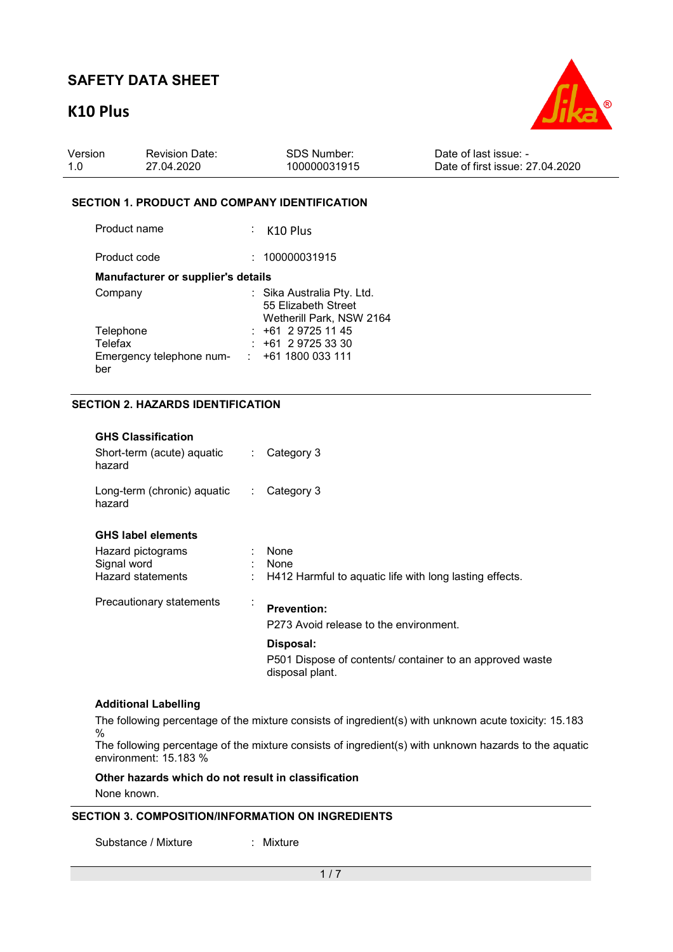# **K10 Plus**



| Version | <b>Revision Date:</b> | SDS Number:  | Date of last issue: -           |
|---------|-----------------------|--------------|---------------------------------|
| 1.0     | 27.04.2020            | 100000031915 | Date of first issue: 27,04,2020 |

#### **SECTION 1. PRODUCT AND COMPANY IDENTIFICATION**

| Product name                       | $\div$ K10 Plus                                                               |
|------------------------------------|-------------------------------------------------------------------------------|
| Product code                       | 100000031915                                                                  |
| Manufacturer or supplier's details |                                                                               |
| Company                            | : Sika Australia Pty. Ltd.<br>55 Elizabeth Street<br>Wetherill Park, NSW 2164 |
| Telephone                          | $: +61297251145$                                                              |
| Telefax                            | $+61$ 2 9725 33 30                                                            |
| Emergency telephone num-<br>ber    | : 1611800033111                                                               |

## **SECTION 2. HAZARDS IDENTIFICATION**

| <b>GHS Classification</b><br>Short-term (acute) aquatic<br>hazard | $\mathcal{L}_{\mathcal{A}}$ | Category 3                                                                                            |  |  |  |  |
|-------------------------------------------------------------------|-----------------------------|-------------------------------------------------------------------------------------------------------|--|--|--|--|
| Long-term (chronic) aquatic<br>hazard                             | $\mathbb{R}^n$              | Category 3                                                                                            |  |  |  |  |
| <b>GHS label elements</b>                                         |                             |                                                                                                       |  |  |  |  |
| Hazard pictograms<br>Signal word                                  |                             | None<br>None                                                                                          |  |  |  |  |
| Hazard statements                                                 |                             | H412 Harmful to aquatic life with long lasting effects.                                               |  |  |  |  |
| Precautionary statements                                          | $\ddot{\cdot}$              | <b>Prevention:</b>                                                                                    |  |  |  |  |
|                                                                   |                             | P273 Avoid release to the environment.                                                                |  |  |  |  |
|                                                                   |                             | Disposal:                                                                                             |  |  |  |  |
|                                                                   |                             | P501 Dispose of contents/ container to an approved waste<br>disposal plant.                           |  |  |  |  |
| <b>Additional Labelling</b>                                       |                             |                                                                                                       |  |  |  |  |
| $\frac{0}{0}$                                                     |                             | The following percentage of the mixture consists of ingredient(s) with unknown acute toxicity: 15.183 |  |  |  |  |
| environment: 15, 183 %                                            |                             | The following percentage of the mixture consists of ingredient(s) with unknown hazards to the aquatic |  |  |  |  |

**Other hazards which do not result in classification**

None known.

### **SECTION 3. COMPOSITION/INFORMATION ON INGREDIENTS**

Substance / Mixture : Mixture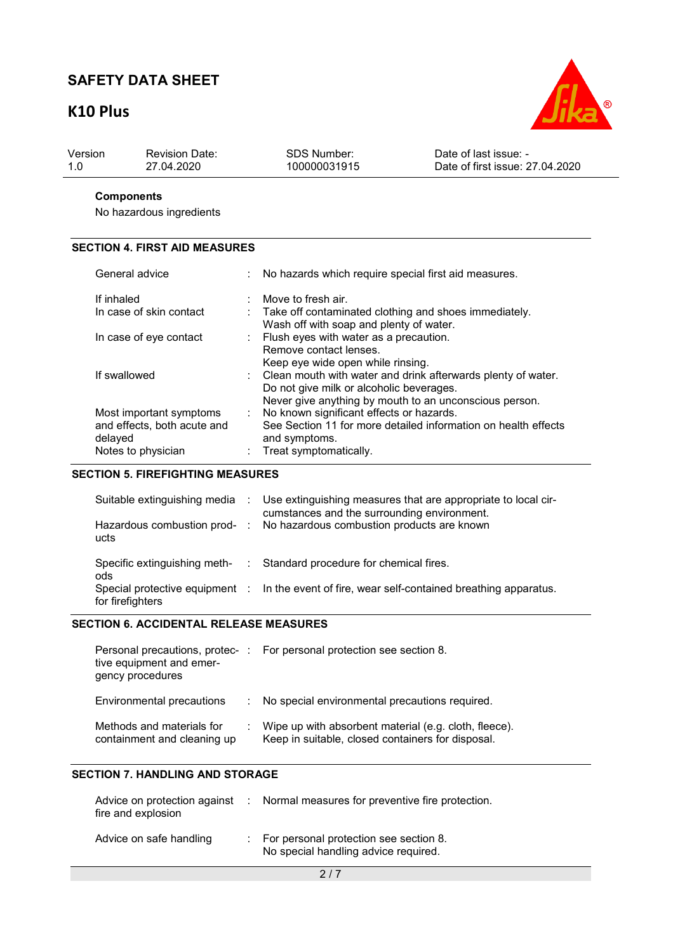# **K10 Plus**



| Date of first issue: 27,04,2020<br>27.04.2020<br>100000031915<br>-1.0 | Version | <b>Revision Date:</b> | SDS Number: | Date of last issue: - |
|-----------------------------------------------------------------------|---------|-----------------------|-------------|-----------------------|
|-----------------------------------------------------------------------|---------|-----------------------|-------------|-----------------------|

## **Components**

No hazardous ingredients

## **SECTION 4. FIRST AID MEASURES**

| General advice                                                                          | ÷    | No hazards which require special first aid measures.                                                                                                               |
|-----------------------------------------------------------------------------------------|------|--------------------------------------------------------------------------------------------------------------------------------------------------------------------|
| If inhaled                                                                              | ÷    | Move to fresh air.                                                                                                                                                 |
| In case of skin contact                                                                 |      | : Take off contaminated clothing and shoes immediately.<br>Wash off with soap and plenty of water.                                                                 |
| In case of eye contact                                                                  |      | Flush eyes with water as a precaution.<br>Remove contact lenses.<br>Keep eye wide open while rinsing.                                                              |
| If swallowed                                                                            |      | Clean mouth with water and drink afterwards plenty of water.<br>Do not give milk or alcoholic beverages.<br>Never give anything by mouth to an unconscious person. |
| Most important symptoms<br>and effects, both acute and<br>delayed<br>Notes to physician | t in | No known significant effects or hazards.<br>See Section 11 for more detailed information on health effects<br>and symptoms.<br>: Treat symptomatically.            |

### **SECTION 5. FIREFIGHTING MEASURES**

| ucts                    | Suitable extinguishing media : Use extinguishing measures that are appropriate to local cir-<br>cumstances and the surrounding environment.<br>Hazardous combustion prod- : No hazardous combustion products are known |
|-------------------------|------------------------------------------------------------------------------------------------------------------------------------------------------------------------------------------------------------------------|
| ods<br>for firefighters | Specific extinguishing meth- : Standard procedure for chemical fires.<br>Special protective equipment : In the event of fire, wear self-contained breathing apparatus.                                                 |

### **SECTION 6. ACCIDENTAL RELEASE MEASURES**

| tive equipment and emer-<br>gency procedures             | Personal precautions, protec- : For personal protection see section 8.                                     |
|----------------------------------------------------------|------------------------------------------------------------------------------------------------------------|
| Environmental precautions                                | : No special environmental precautions required.                                                           |
| Methods and materials for<br>containment and cleaning up | Wipe up with absorbent material (e.g. cloth, fleece).<br>Keep in suitable, closed containers for disposal. |

## **SECTION 7. HANDLING AND STORAGE**

| fire and explosion      | Advice on protection against : Normal measures for preventive fire protection. |
|-------------------------|--------------------------------------------------------------------------------|
| Advice on safe handling | For personal protection see section 8.<br>No special handling advice required. |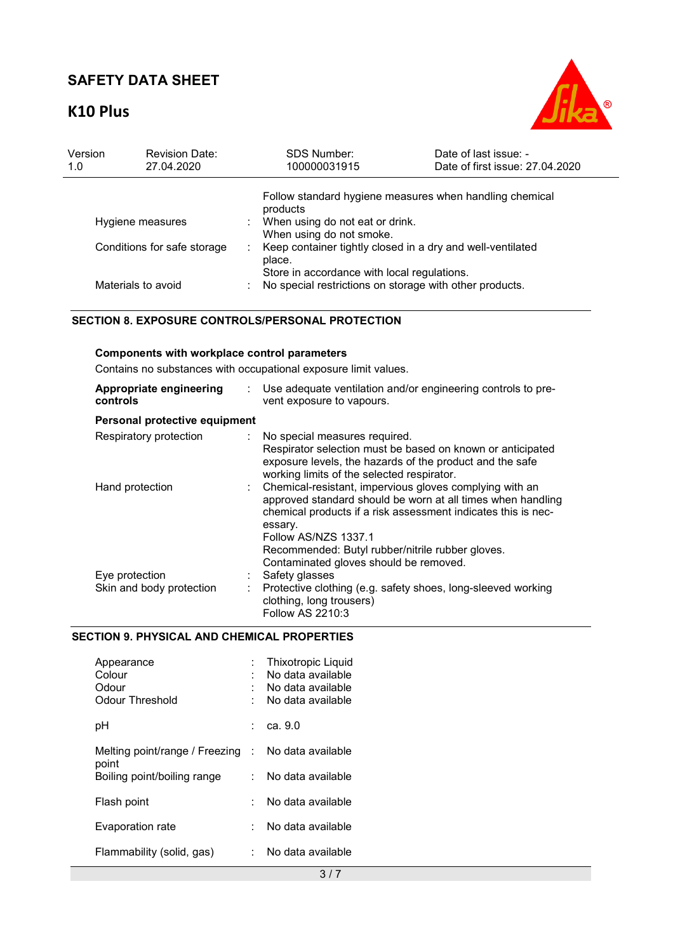# **K10 Plus**



| Version<br>1.0              | <b>Revision Date:</b><br>27.04.2020 | <b>SDS Number:</b><br>100000031915                                                                     | Date of last issue: -<br>Date of first issue: 27.04.2020 |  |
|-----------------------------|-------------------------------------|--------------------------------------------------------------------------------------------------------|----------------------------------------------------------|--|
|                             |                                     | products                                                                                               | Follow standard hygiene measures when handling chemical  |  |
| Hygiene measures            |                                     | When using do not eat or drink.<br>When using do not smoke.                                            |                                                          |  |
| Conditions for safe storage |                                     | Keep container tightly closed in a dry and well-ventilated<br>place.                                   |                                                          |  |
| Materials to avoid          |                                     | Store in accordance with local regulations.<br>No special restrictions on storage with other products. |                                                          |  |

### **SECTION 8. EXPOSURE CONTROLS/PERSONAL PROTECTION**

## **Components with workplace control parameters**

Contains no substances with occupational exposure limit values.

| Appropriate engineering<br>controls | Use adequate ventilation and/or engineering controls to pre-<br>vent exposure to vapours.                                                                                                                                                                                        |
|-------------------------------------|----------------------------------------------------------------------------------------------------------------------------------------------------------------------------------------------------------------------------------------------------------------------------------|
| Personal protective equipment       |                                                                                                                                                                                                                                                                                  |
| Respiratory protection              | : No special measures required.<br>Respirator selection must be based on known or anticipated<br>exposure levels, the hazards of the product and the safe<br>working limits of the selected respirator.                                                                          |
| Hand protection                     | : Chemical-resistant, impervious gloves complying with an<br>approved standard should be worn at all times when handling<br>chemical products if a risk assessment indicates this is nec-<br>essary.<br>Follow AS/NZS 1337.1<br>Recommended: Butyl rubber/nitrile rubber gloves. |
|                                     | Contaminated gloves should be removed.                                                                                                                                                                                                                                           |
| Eye protection                      | Safety glasses                                                                                                                                                                                                                                                                   |
| Skin and body protection            | Protective clothing (e.g. safety shoes, long-sleeved working<br>clothing, long trousers)<br>Follow AS 2210:3                                                                                                                                                                     |

## **SECTION 9. PHYSICAL AND CHEMICAL PROPERTIES**

| Appearance<br>Colour<br>Odour<br>Odour Threshold |    | Thixotropic Liquid<br>No data available<br>No data available<br>No data available |
|--------------------------------------------------|----|-----------------------------------------------------------------------------------|
| рH                                               | t. | ca. 9.0                                                                           |
| Melting point/range / Freezing :<br>point        |    | No data available                                                                 |
| Boiling point/boiling range                      | ۰. | No data available                                                                 |
| Flash point                                      |    | No data available                                                                 |
| Evaporation rate                                 |    | No data available                                                                 |
| Flammability (solid, gas)                        |    | No data available                                                                 |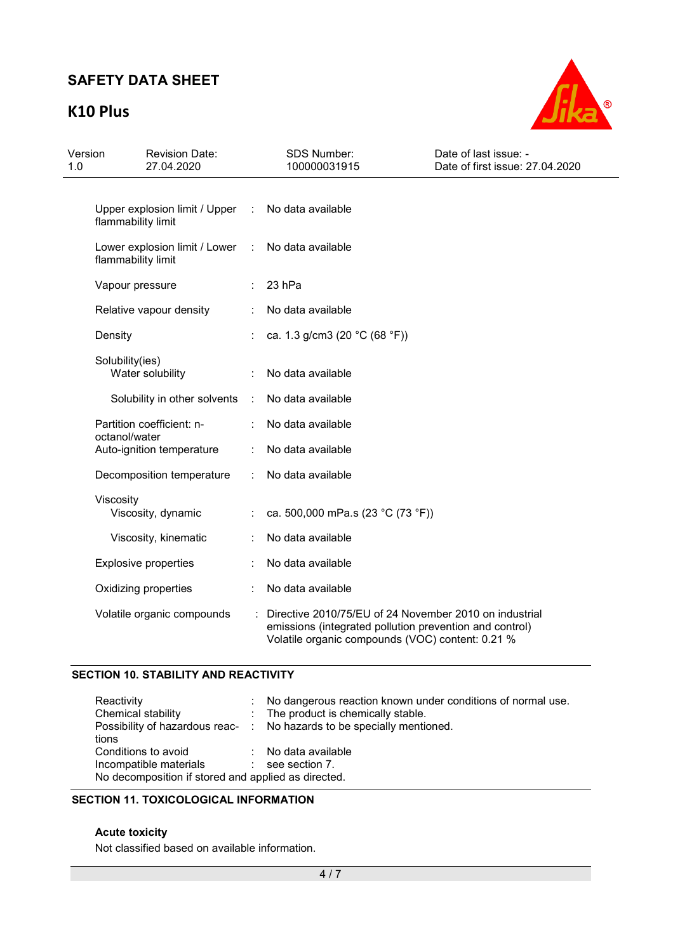# **K10 Plus**



| Version<br>1.0               | <b>Revision Date:</b><br>27.04.2020                                     |                | SDS Number:<br>100000031915                                                                                                                                           | Date of last issue: -<br>Date of first issue: 27.04.2020 |
|------------------------------|-------------------------------------------------------------------------|----------------|-----------------------------------------------------------------------------------------------------------------------------------------------------------------------|----------------------------------------------------------|
|                              | Upper explosion limit / Upper : No data available<br>flammability limit |                |                                                                                                                                                                       |                                                          |
|                              | Lower explosion limit / Lower :<br>flammability limit                   |                | No data available                                                                                                                                                     |                                                          |
|                              | Vapour pressure                                                         |                | 23 hPa                                                                                                                                                                |                                                          |
|                              | Relative vapour density                                                 |                | No data available                                                                                                                                                     |                                                          |
|                              | Density                                                                 |                | ca. 1.3 g/cm3 (20 °C (68 °F))                                                                                                                                         |                                                          |
|                              | Solubility(ies)<br>Water solubility                                     |                | No data available                                                                                                                                                     |                                                          |
| Solubility in other solvents |                                                                         | $\sim$ 10 $\,$ | No data available                                                                                                                                                     |                                                          |
|                              | Partition coefficient: n-<br>octanol/water                              |                | No data available                                                                                                                                                     |                                                          |
|                              | Auto-ignition temperature                                               |                | No data available                                                                                                                                                     |                                                          |
|                              | Decomposition temperature                                               |                | No data available                                                                                                                                                     |                                                          |
|                              | Viscosity<br>Viscosity, dynamic                                         |                | ca. 500,000 mPa.s (23 °C (73 °F))                                                                                                                                     |                                                          |
|                              | Viscosity, kinematic                                                    |                | No data available                                                                                                                                                     |                                                          |
|                              | <b>Explosive properties</b>                                             |                | No data available                                                                                                                                                     |                                                          |
|                              | Oxidizing properties                                                    |                | No data available                                                                                                                                                     |                                                          |
|                              | Volatile organic compounds                                              |                | Directive 2010/75/EU of 24 November 2010 on industrial<br>emissions (integrated pollution prevention and control)<br>Volatile organic compounds (VOC) content: 0.21 % |                                                          |

## **SECTION 10. STABILITY AND REACTIVITY**

| Reactivity<br>Chemical stability<br>tions                                                            | : No dangerous reaction known under conditions of normal use.<br>: The product is chemically stable.<br>Possibility of hazardous reac- : No hazards to be specially mentioned. |
|------------------------------------------------------------------------------------------------------|--------------------------------------------------------------------------------------------------------------------------------------------------------------------------------|
| Conditions to avoid<br>Incompatible materials<br>No decomposition if stored and applied as directed. | : No data available<br>$\therefore$ see section 7.                                                                                                                             |

## **SECTION 11. TOXICOLOGICAL INFORMATION**

### **Acute toxicity**

Not classified based on available information.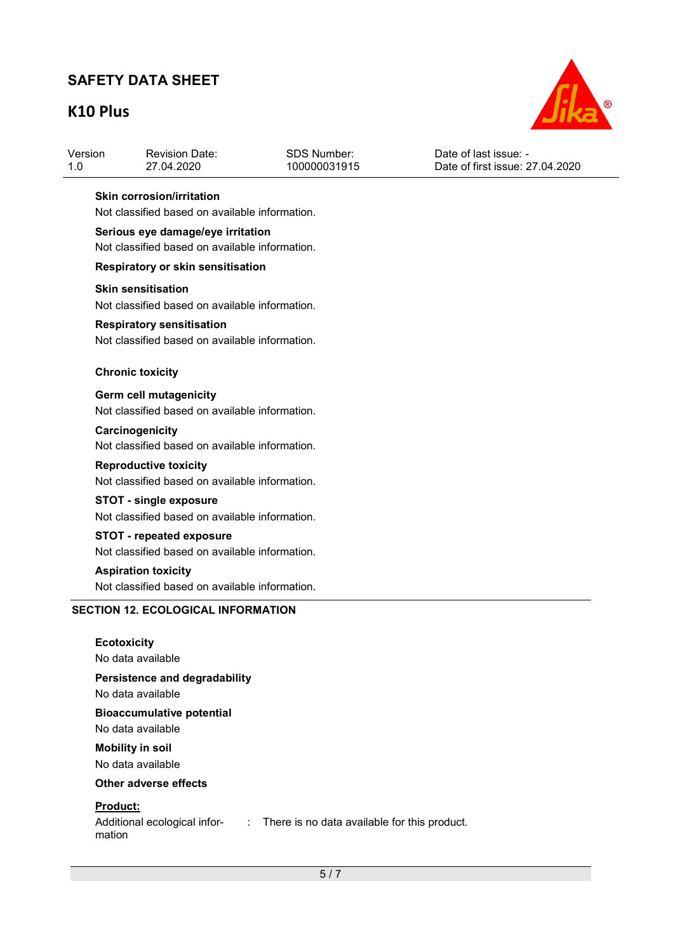## **K10 Plus**



| Date of first issue: 27,04,2020<br>100000031915<br>27.04.2020<br>-1.0 | Version | <b>Revision Date:</b> | SDS Number: | Date of last issue: - |  |
|-----------------------------------------------------------------------|---------|-----------------------|-------------|-----------------------|--|
|-----------------------------------------------------------------------|---------|-----------------------|-------------|-----------------------|--|

#### **Skin corrosion/irritation**

Not classified based on available information.

### **Serious eye damage/eye irritation**

Not classified based on available information.

#### **Respiratory or skin sensitisation**

#### **Skin sensitisation**

Not classified based on available information.

#### **Respiratory sensitisation**

Not classified based on available information.

#### **Chronic toxicity**

**Germ cell mutagenicity**  Not classified based on available information.

#### **Carcinogenicity**

Not classified based on available information.

#### **Reproductive toxicity**

Not classified based on available information.

### **STOT - single exposure**

Not classified based on available information.

# **STOT - repeated exposure**

Not classified based on available information.

### **Aspiration toxicity**

Not classified based on available information.

### **SECTION 12. ECOLOGICAL INFORMATION**

| <b>Ecotoxicity</b><br>No data available                   |  |
|-----------------------------------------------------------|--|
| <b>Persistence and degradability</b><br>No data available |  |
| <b>Bioaccumulative potential</b>                          |  |
| No data available                                         |  |
| <b>Mobility in soil</b>                                   |  |
| No data available<br>Other adverse effects                |  |
|                                                           |  |

#### **Product:**

mation

Additional ecological infor-: There is no data available for this product.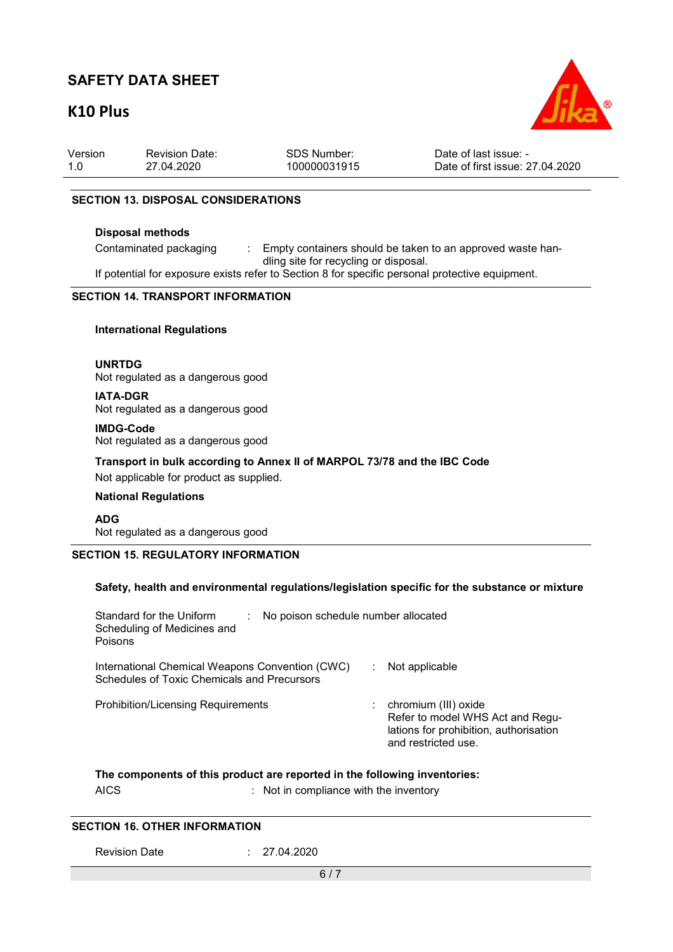## **K10 Plus**



| Version | <b>Revision Date:</b> | SDS Number:  | Date of last issue: -           |
|---------|-----------------------|--------------|---------------------------------|
| 1.0     | 27.04.2020            | 100000031915 | Date of first issue: 27.04.2020 |

#### **SECTION 13. DISPOSAL CONSIDERATIONS**

#### **Disposal methods**

Contaminated packaging : Empty containers should be taken to an approved waste handling site for recycling or disposal.

If potential for exposure exists refer to Section 8 for specific personal protective equipment.

### **SECTION 14. TRANSPORT INFORMATION**

#### **International Regulations**

**UNRTDG** Not regulated as a dangerous good

**IATA-DGR** Not regulated as a dangerous good

**IMDG-Code** Not regulated as a dangerous good

**Transport in bulk according to Annex II of MARPOL 73/78 and the IBC Code** 

Not applicable for product as supplied.

#### **National Regulations**

**ADG** Not regulated as a dangerous good

### **SECTION 15. REGULATORY INFORMATION**

#### **Safety, health and environmental regulations/legislation specific for the substance or mixture**

| Standard for the Uniform<br>No poison schedule number allocated<br>Scheduling of Medicines and<br>Poisons |                                                                                                                           |
|-----------------------------------------------------------------------------------------------------------|---------------------------------------------------------------------------------------------------------------------------|
| International Chemical Weapons Convention (CWC)<br><b>Schedules of Toxic Chemicals and Precursors</b>     | Not applicable                                                                                                            |
| <b>Prohibition/Licensing Requirements</b>                                                                 | chromium (III) oxide<br>Refer to model WHS Act and Regu-<br>lations for prohibition, authorisation<br>and restricted use. |

### **The components of this product are reported in the following inventories:**

AICS : Not in compliance with the inventory

#### **SECTION 16. OTHER INFORMATION**

Revision Date : 27.04.2020